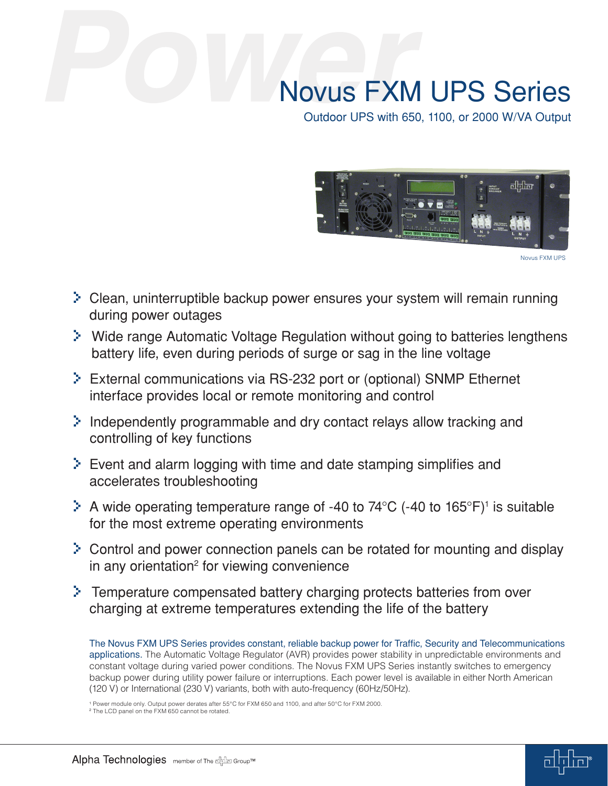# Novus FXM UPS Series

Outdoor UPS with 650, 1100, or 2000 W/VA Output



Novus FXM UPS

- > Clean, uninterruptible backup power ensures your system will remain running during power outages
- > Wide range Automatic Voltage Regulation without going to batteries lengthens battery life, even during periods of surge or sag in the line voltage
- > External communications via RS-232 port or (optional) SNMP Ethernet interface provides local or remote monitoring and control
- > Independently programmable and dry contact relays allow tracking and controlling of key functions
- > Event and alarm logging with time and date stamping simplifies and accelerates troubleshooting
- $\geq$  A wide operating temperature range of -40 to 74°C (-40 to 165°F)<sup>1</sup> is suitable for the most extreme operating environments
- > Control and power connection panels can be rotated for mounting and display in any orientation<sup>2</sup> for viewing convenience
- > Temperature compensated battery charging protects batteries from over charging at extreme temperatures extending the life of the battery

The Novus FXM UPS Series provides constant, reliable backup power for Traffic, Security and Telecommunications applications. The Automatic Voltage Regulator (AVR) provides power stability in unpredictable environments and constant voltage during varied power conditions. The Novus FXM UPS Series instantly switches to emergency backup power during utility power failure or interruptions. Each power level is available in either North American (120 V) or International (230 V) variants, both with auto-frequency (60Hz/50Hz).

<sup>1</sup> Power module only. Output power derates after 55°C for FXM 650 and 1100, and after 50°C for FXM 2000.